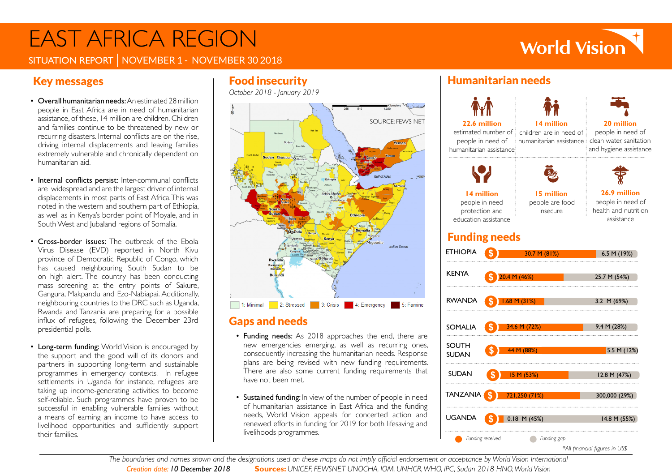# EAST AFRICA REGION

## **World Vision**

SITUATION REPORT | NOVEMBER 1 - NOVEMBER 30 2018

## Key messages

- Overall humanitarian needs: An estimated 28 million people in East Africa are in need of humanitarian assistance, of these, 14 million are children. Children and families continue to be threatened by new or recurring disasters. Internal conflicts are on the rise, driving internal displacements and leaving families extremely vulnerable and chronically dependent on humanitarian aid.
- Internal conflicts persist: Inter-communal conflicts are widespread and are the largest driver of internal displacements in most parts of East Africa. This was noted in the western and southern part of Ethiopia, as well as in Kenya's border point of Moyale, and in South West and Jubaland regions of Somalia.
- Cross-border issues: The outbreak of the Ebola Virus Disease (EVD) reported in North Kivu province of Democratic Republic of Congo, which has caused neighbouring South Sudan to be on high alert. The country has been conducting mass screening at the entry points of Sakure, Gangura, Makpandu and Ezo-Nabiapai. Additionally, neighbouring countries to the DRC such as Uganda, Rwanda and Tanzania are preparing for a possible influx of refugees, following the December 23rd presidential polls.
- Long-term funding: World Vision is encouraged by the support and the good will of its donors and partners in supporting long-term and sustainable programmes in emergency contexts. In refugee settlements in Uganda for instance, refugees are taking up income-generating activities to become self-reliable. Such programmes have proven to be successful in enabling vulnerable families without a means of earning an income to have access to livelihood opportunities and sufficiently support their families.

*October 2018 - January 2019*



### Gaps and needs

- Funding needs: As 2018 approaches the end, there are new emergencies emerging, as well as recurring ones, consequently increasing the humanitarian needs. Response plans are being revised with new funding requirements. There are also some current funding requirements that have not been met.
- Sustained funding: In view of the number of people in need of humanitarian assistance in East Africa and the funding needs, World Vision appeals for concerted action and renewed efforts in funding for 2019 for both lifesaving and livelihoods programmes.

## Food insecurity Humanitarian needs



*The boundaries and names shown and the designations used on these maps do not imply official endorsement or acceptance by World Vision International Creation date: 10 December 2018* **Sources:** *UNICEF, FEWSNET UNOCHA, IOM, UNHCR, WHO, IPC, Sudan 2018 HNO, World Vision*